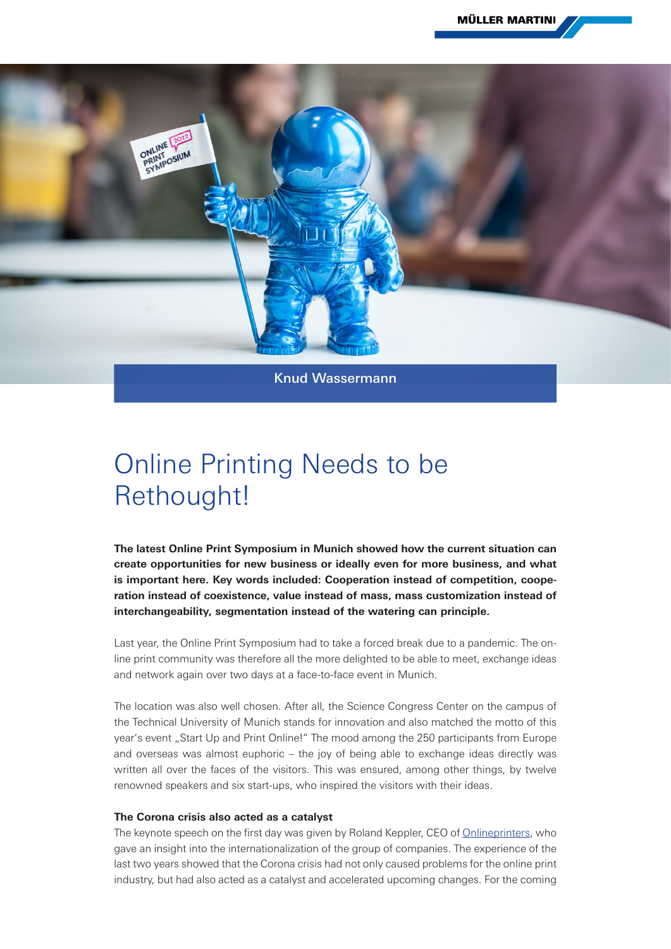

## Online Printing Needs to be Rethought!

**The latest Online Print Symposium in Munich showed how the current situation can create opportunities for new business or ideally even for more business, and what is important here. Key words included: Cooperation instead of competition, cooperation instead of coexistence, value instead of mass, mass customization instead of interchangeability, segmentation instead of the watering can principle.**

Last year, the Online Print Symposium had to take a forced break due to a pandemic. The online print community was therefore all the more delighted to be able to meet, exchange ideas and network again over two days at a face-to-face event in Munich.

The location was also well chosen. After all, the Science Congress Center on the campus of the Technical University of Munich stands for innovation and also matched the motto of this year's event "Start Up and Print Online!" The mood among the 250 participants from Europe and overseas was almost euphoric – the joy of being able to exchange ideas directly was written all over the faces of the visitors. This was ensured, among other things, by twelve renowned speakers and six start-ups, who inspired the visitors with their ideas.

## **The Corona crisis also acted as a catalyst**

The keynote speech on the first day was given by Roland Keppler, CEO of [Onlineprinters](https://www.onlineprinters.com), who gave an insight into the internationalization of the group of companies. The experience of the last two years showed that the Corona crisis had not only caused problems for the online print industry, but had also acted as a catalyst and accelerated upcoming changes. For the coming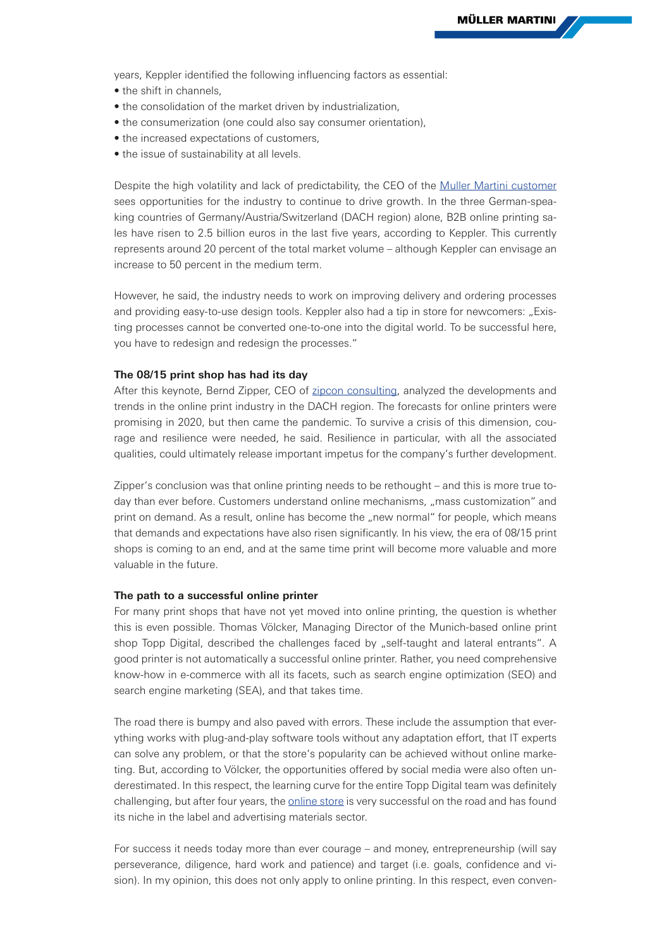years, Keppler identified the following influencing factors as essential:

- **•** the shift in channels,
- **•** the consolidation of the market driven by industrialization,
- **•** the consumerization (one could also say consumer orientation),
- **•** the increased expectations of customers,
- **•** the issue of sustainability at all levels.

Despite the high volatility and lack of predictability, the CEO of the [Muller Martini customer](https://www.mullermartini.com/en/newsroom-en/stories/case-studies/onlineprinters-had-the-requirement-%E2%80%93-muller-martini-the-solution-with-the-presto-ii-digital/) sees opportunities for the industry to continue to drive growth. In the three German-speaking countries of Germany/Austria/Switzerland (DACH region) alone, B2B online printing sales have risen to 2.5 billion euros in the last five years, according to Keppler. This currently represents around 20 percent of the total market volume – although Keppler can envisage an increase to 50 percent in the medium term.

However, he said, the industry needs to work on improving delivery and ordering processes and providing easy-to-use design tools. Keppler also had a tip in store for newcomers: "Existing processes cannot be converted one-to-one into the digital world. To be successful here, you have to redesign and redesign the processes."

## **The 08/15 print shop has had its day**

After this keynote, Bernd Zipper, CEO of [zipcon consulting](https://zipcon.de), analyzed the developments and trends in the online print industry in the DACH region. The forecasts for online printers were promising in 2020, but then came the pandemic. To survive a crisis of this dimension, courage and resilience were needed, he said. Resilience in particular, with all the associated qualities, could ultimately release important impetus for the company's further development.

Zipper's conclusion was that online printing needs to be rethought – and this is more true today than ever before. Customers understand online mechanisms, "mass customization" and print on demand. As a result, online has become the "new normal" for people, which means that demands and expectations have also risen significantly. In his view, the era of 08/15 print shops is coming to an end, and at the same time print will become more valuable and more valuable in the future.

## **The path to a successful online printer**

For many print shops that have not yet moved into online printing, the question is whether this is even possible. Thomas Völcker, Managing Director of the Munich-based online print shop Topp Digital, described the challenges faced by "self-taught and lateral entrants". A good printer is not automatically a successful online printer. Rather, you need comprehensive know-how in e-commerce with all its facets, such as search engine optimization (SEO) and search engine marketing (SEA), and that takes time.

The road there is bumpy and also paved with errors. These include the assumption that everything works with plug-and-play software tools without any adaptation effort, that IT experts can solve any problem, or that the store's popularity can be achieved without online marketing. But, according to Völcker, the opportunities offered by social media were also often underestimated. In this respect, the learning curve for the entire Topp Digital team was definitely challenging, but after four years, the [online store](http://www.topp-druckwerkstatt.de) is very successful on the road and has found its niche in the label and advertising materials sector.

For success it needs today more than ever courage – and money, entrepreneurship (will say perseverance, diligence, hard work and patience) and target (i.e. goals, confidence and vision). In my opinion, this does not only apply to online printing. In this respect, even conven